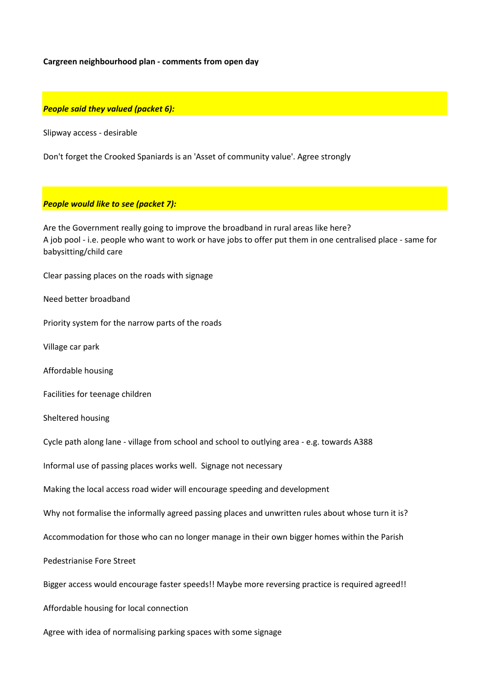### **Cargreen neighbourhood plan - comments from open day**

#### *People said they valued (packet 6):*

Slipway access - desirable

Don't forget the Crooked Spaniards is an 'Asset of community value'. Agree strongly

## *People would like to see (packet 7):*

Are the Government really going to improve the broadband in rural areas like here? A job pool - i.e. people who want to work or have jobs to offer put them in one centralised place - same for babysitting/child care

Clear passing places on the roads with signage

Need better broadband

Priority system for the narrow parts of the roads

Village car park

Affordable housing

Facilities for teenage children

Sheltered housing

Cycle path along lane - village from school and school to outlying area - e.g. towards A388

Informal use of passing places works well. Signage not necessary

Making the local access road wider will encourage speeding and development

Why not formalise the informally agreed passing places and unwritten rules about whose turn it is?

Accommodation for those who can no longer manage in their own bigger homes within the Parish

Pedestrianise Fore Street

Bigger access would encourage faster speeds!! Maybe more reversing practice is required agreed!!

Affordable housing for local connection

Agree with idea of normalising parking spaces with some signage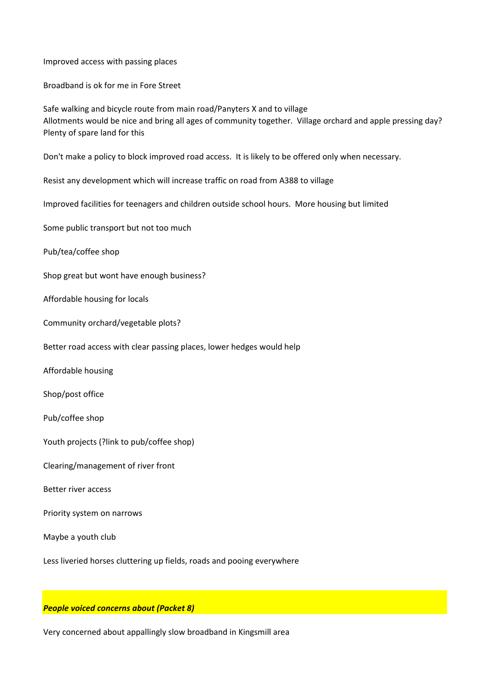Improved access with passing places

Broadband is ok for me in Fore Street

Safe walking and bicycle route from main road/Panyters X and to village Allotments would be nice and bring all ages of community together. Village orchard and apple pressing day? Plenty of spare land for this

Don't make a policy to block improved road access. It is likely to be offered only when necessary.

Resist any development which will increase traffic on road from A388 to village

Improved facilities for teenagers and children outside school hours. More housing but limited

Some public transport but not too much

Pub/tea/coffee shop

Shop great but wont have enough business?

Affordable housing for locals

Community orchard/vegetable plots?

Better road access with clear passing places, lower hedges would help

Affordable housing

Shop/post office

Pub/coffee shop

Youth projects (?link to pub/coffee shop)

Clearing/management of river front

Better river access

Priority system on narrows

Maybe a youth club

Less liveried horses cluttering up fields, roads and pooing everywhere

*People voiced concerns about (Packet 8)*

Very concerned about appallingly slow broadband in Kingsmill area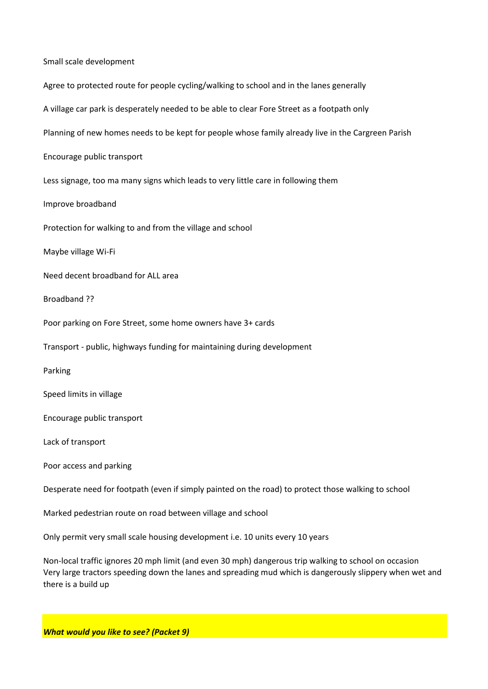Small scale development Agree to protected route for people cycling/walking to school and in the lanes generally A village car park is desperately needed to be able to clear Fore Street as a footpath only Planning of new homes needs to be kept for people whose family already live in the Cargreen Parish Encourage public transport Less signage, too ma many signs which leads to very little care in following them Improve broadband Protection for walking to and from the village and school Maybe village Wi-Fi Need decent broadband for ALL area Broadband ?? Poor parking on Fore Street, some home owners have 3+ cards Transport - public, highways funding for maintaining during development Parking Speed limits in village Encourage public transport Lack of transport Poor access and parking Desperate need for footpath (even if simply painted on the road) to protect those walking to school Marked pedestrian route on road between village and school Only permit very small scale housing development i.e. 10 units every 10 years

Non-local traffic ignores 20 mph limit (and even 30 mph) dangerous trip walking to school on occasion Very large tractors speeding down the lanes and spreading mud which is dangerously slippery when wet and there is a build up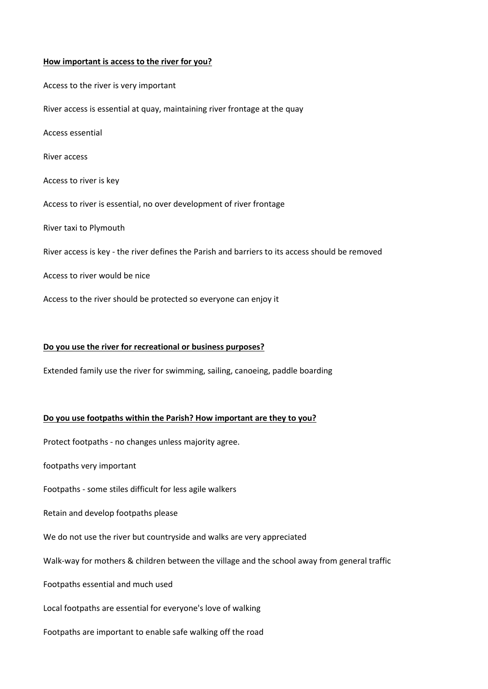### **How important is access to the river for you?**

Access to the river is very important River access is essential at quay, maintaining river frontage at the quay Access essential River access Access to river is key Access to river is essential, no over development of river frontage River taxi to Plymouth River access is key - the river defines the Parish and barriers to its access should be removed Access to river would be nice Access to the river should be protected so everyone can enjoy it

### **Do you use the river for recreational or business purposes?**

Extended family use the river for swimming, sailing, canoeing, paddle boarding

### **Do you use footpaths within the Parish? How important are they to you?**

Protect footpaths - no changes unless majority agree.

footpaths very important

Footpaths - some stiles difficult for less agile walkers

Retain and develop footpaths please

We do not use the river but countryside and walks are very appreciated

Walk-way for mothers & children between the village and the school away from general traffic

Footpaths essential and much used

Local footpaths are essential for everyone's love of walking

Footpaths are important to enable safe walking off the road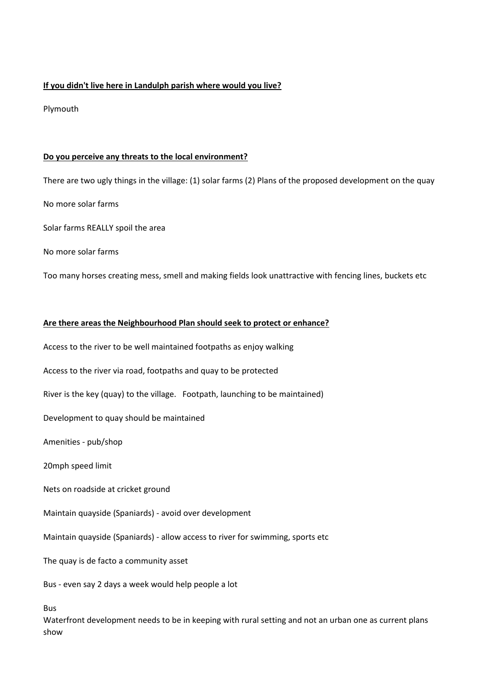## **If you didn't live here in Landulph parish where would you live?**

Plymouth

## **Do you perceive any threats to the local environment?**

There are two ugly things in the village: (1) solar farms (2) Plans of the proposed development on the quay

No more solar farms

Solar farms REALLY spoil the area

No more solar farms

Too many horses creating mess, smell and making fields look unattractive with fencing lines, buckets etc

## **Are there areas the Neighbourhood Plan should seek to protect or enhance?**

Access to the river to be well maintained footpaths as enjoy walking

Access to the river via road, footpaths and quay to be protected

River is the key (quay) to the village. Footpath, launching to be maintained)

Development to quay should be maintained

Amenities - pub/shop

20mph speed limit

Nets on roadside at cricket ground

Maintain quayside (Spaniards) - avoid over development

Maintain quayside (Spaniards) - allow access to river for swimming, sports etc

The quay is de facto a community asset

Bus - even say 2 days a week would help people a lot

Bus

Waterfront development needs to be in keeping with rural setting and not an urban one as current plans show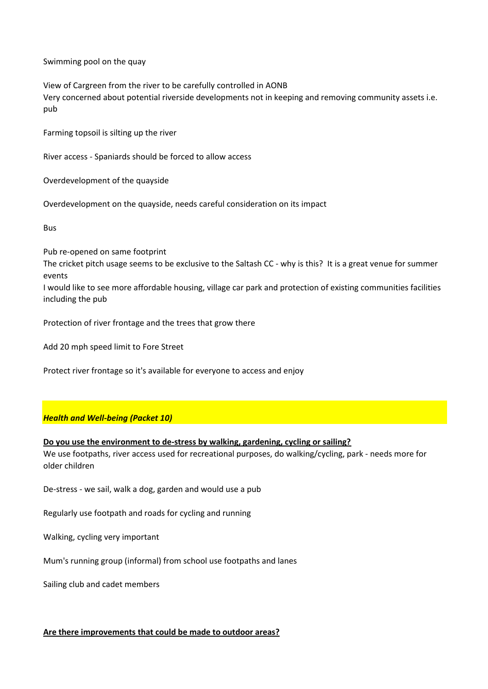Swimming pool on the quay

View of Cargreen from the river to be carefully controlled in AONB Very concerned about potential riverside developments not in keeping and removing community assets i.e. pub

Farming topsoil is silting up the river

River access - Spaniards should be forced to allow access

Overdevelopment of the quayside

Overdevelopment on the quayside, needs careful consideration on its impact

Bus

Pub re-opened on same footprint

The cricket pitch usage seems to be exclusive to the Saltash CC - why is this? It is a great venue for summer events

I would like to see more affordable housing, village car park and protection of existing communities facilities including the pub

Protection of river frontage and the trees that grow there

Add 20 mph speed limit to Fore Street

Protect river frontage so it's available for everyone to access and enjoy

## *Health and Well-being (Packet 10)*

#### **Do you use the environment to de-stress by walking, gardening, cycling or sailing?**

We use footpaths, river access used for recreational purposes, do walking/cycling, park - needs more for older children

De-stress - we sail, walk a dog, garden and would use a pub

Regularly use footpath and roads for cycling and running

Walking, cycling very important

Mum's running group (informal) from school use footpaths and lanes

Sailing club and cadet members

## **Are there improvements that could be made to outdoor areas?**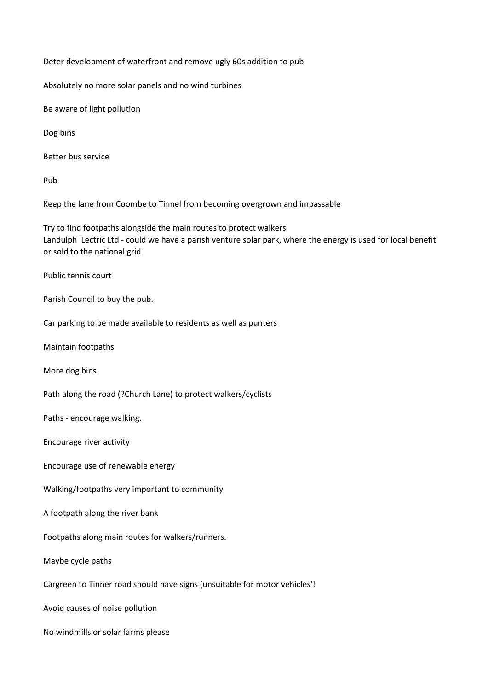Deter development of waterfront and remove ugly 60s addition to pub

Absolutely no more solar panels and no wind turbines

Be aware of light pollution

Dog bins

Better bus service

Pub

Keep the lane from Coombe to Tinnel from becoming overgrown and impassable

Try to find footpaths alongside the main routes to protect walkers Landulph 'Lectric Ltd - could we have a parish venture solar park, where the energy is used for local benefit or sold to the national grid

Public tennis court

Parish Council to buy the pub.

Car parking to be made available to residents as well as punters

Maintain footpaths

More dog bins

Path along the road (?Church Lane) to protect walkers/cyclists

Paths - encourage walking.

Encourage river activity

Encourage use of renewable energy

Walking/footpaths very important to community

A footpath along the river bank

Footpaths along main routes for walkers/runners.

Maybe cycle paths

Cargreen to Tinner road should have signs (unsuitable for motor vehicles'!

Avoid causes of noise pollution

No windmills or solar farms please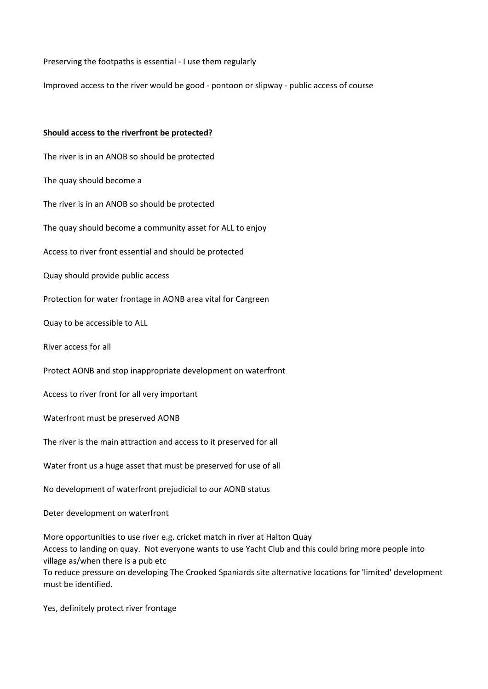Preserving the footpaths is essential - I use them regularly

Improved access to the river would be good - pontoon or slipway - public access of course

### **Should access to the riverfront be protected?**

The river is in an ANOB so should be protected The quay should become a The river is in an ANOB so should be protected The quay should become a community asset for ALL to enjoy Access to river front essential and should be protected Quay should provide public access Protection for water frontage in AONB area vital for Cargreen Quay to be accessible to ALL River access for all Protect AONB and stop inappropriate development on waterfront Access to river front for all very important Waterfront must be preserved AONB The river is the main attraction and access to it preserved for all Water front us a huge asset that must be preserved for use of all No development of waterfront prejudicial to our AONB status Deter development on waterfront More opportunities to use river e.g. cricket match in river at Halton Quay Access to landing on quay. Not everyone wants to use Yacht Club and this could bring more people into village as/when there is a pub etc To reduce pressure on developing The Crooked Spaniards site alternative locations for 'limited' development

Yes, definitely protect river frontage

must be identified.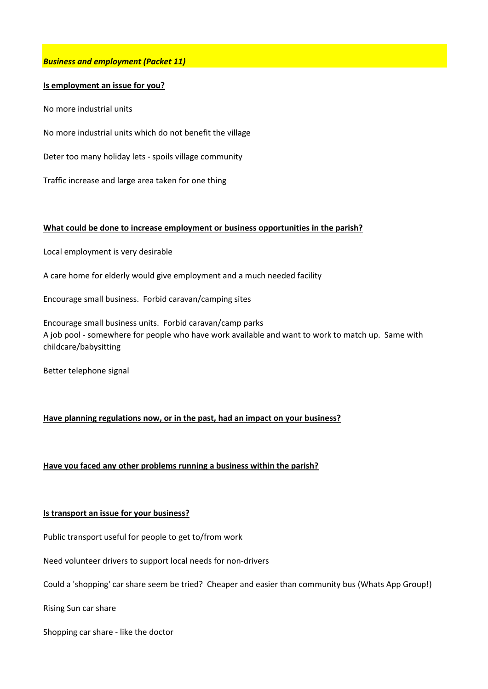## *Business and employment (Packet 11)*

## **Is employment an issue for you?**

No more industrial units

No more industrial units which do not benefit the village

Deter too many holiday lets - spoils village community

Traffic increase and large area taken for one thing

### **What could be done to increase employment or business opportunities in the parish?**

Local employment is very desirable

A care home for elderly would give employment and a much needed facility

Encourage small business. Forbid caravan/camping sites

Encourage small business units. Forbid caravan/camp parks A job pool - somewhere for people who have work available and want to work to match up. Same with childcare/babysitting

Better telephone signal

## **Have planning regulations now, or in the past, had an impact on your business?**

**Have you faced any other problems running a business within the parish?**

#### **Is transport an issue for your business?**

Public transport useful for people to get to/from work

Need volunteer drivers to support local needs for non-drivers

Could a 'shopping' car share seem be tried? Cheaper and easier than community bus (Whats App Group!)

Rising Sun car share

Shopping car share - like the doctor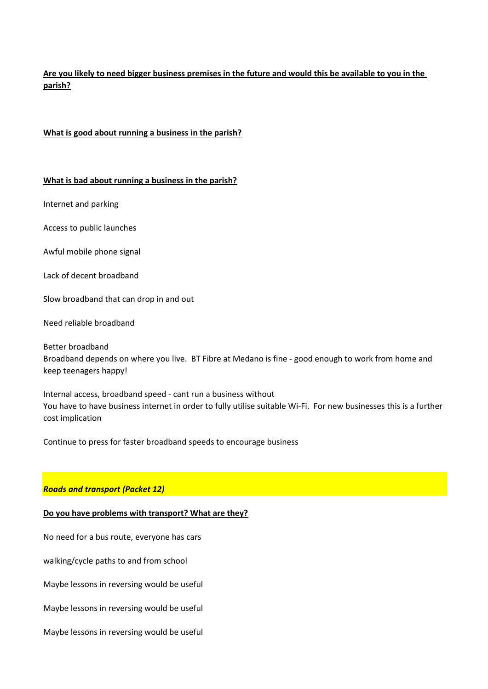**Are you likely to need bigger business premises in the future and would this be available to you in the parish?**

## **What is good about running a business in the parish?**

#### **What is bad about running a business in the parish?**

Internet and parking

Access to public launches

Awful mobile phone signal

Lack of decent broadband

Slow broadband that can drop in and out

Need reliable broadband

Better broadband Broadband depends on where you live. BT Fibre at Medano is fine - good enough to work from home and keep teenagers happy!

Internal access, broadband speed - cant run a business without You have to have business internet in order to fully utilise suitable Wi-Fi. For new businesses this is a further cost implication

Continue to press for faster broadband speeds to encourage business

#### *Roads and transport (Packet 12)*

#### **Do you have problems with transport? What are they?**

No need for a bus route, everyone has cars

walking/cycle paths to and from school

Maybe lessons in reversing would be useful

Maybe lessons in reversing would be useful

Maybe lessons in reversing would be useful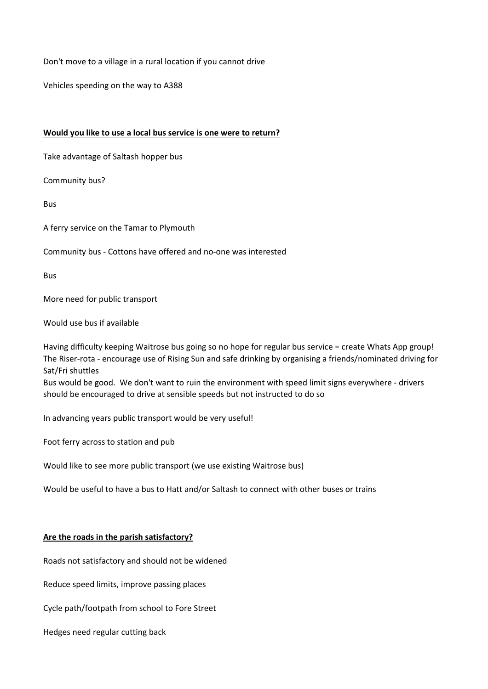Don't move to a village in a rural location if you cannot drive

Vehicles speeding on the way to A388

## **Would you like to use a local bus service is one were to return?**

Take advantage of Saltash hopper bus

Community bus?

Bus

A ferry service on the Tamar to Plymouth

### Community bus - Cottons have offered and no-one was interested

Bus

More need for public transport

Would use bus if available

Having difficulty keeping Waitrose bus going so no hope for regular bus service = create Whats App group! The Riser-rota - encourage use of Rising Sun and safe drinking by organising a friends/nominated driving for Sat/Fri shuttles

Bus would be good. We don't want to ruin the environment with speed limit signs everywhere - drivers should be encouraged to drive at sensible speeds but not instructed to do so

In advancing years public transport would be very useful!

Foot ferry across to station and pub

Would like to see more public transport (we use existing Waitrose bus)

Would be useful to have a bus to Hatt and/or Saltash to connect with other buses or trains

## **Are the roads in the parish satisfactory?**

Roads not satisfactory and should not be widened

Reduce speed limits, improve passing places

Cycle path/footpath from school to Fore Street

Hedges need regular cutting back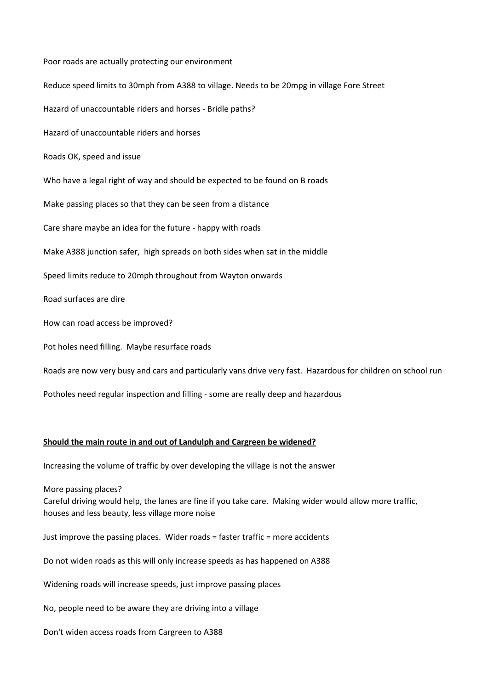Poor roads are actually protecting our environment Reduce speed limits to 30mph from A388 to village. Needs to be 20mpg in village Fore Street Hazard of unaccountable riders and horses - Bridle paths? Hazard of unaccountable riders and horses Roads OK, speed and issue Who have a legal right of way and should be expected to be found on B roads Make passing places so that they can be seen from a distance Care share maybe an idea for the future - happy with roads Make A388 junction safer, high spreads on both sides when sat in the middle Speed limits reduce to 20mph throughout from Wayton onwards Road surfaces are dire How can road access be improved? Pot holes need filling. Maybe resurface roads Roads are now very busy and cars and particularly vans drive very fast. Hazardous for children on school run Potholes need regular inspection and filling - some are really deep and hazardous

## **Should the main route in and out of Landulph and Cargreen be widened?**

Increasing the volume of traffic by over developing the village is not the answer

More passing places?

Careful driving would help, the lanes are fine if you take care. Making wider would allow more traffic, houses and less beauty, less village more noise

Just improve the passing places. Wider roads = faster traffic = more accidents

Do not widen roads as this will only increase speeds as has happened on A388

Widening roads will increase speeds, just improve passing places

No, people need to be aware they are driving into a village

Don't widen access roads from Cargreen to A388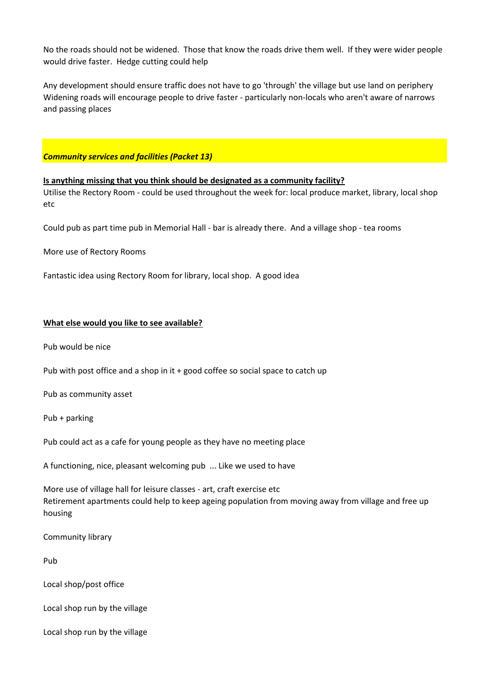No the roads should not be widened. Those that know the roads drive them well. If they were wider people would drive faster. Hedge cutting could help

Any development should ensure traffic does not have to go 'through' the village but use land on periphery Widening roads will encourage people to drive faster - particularly non-locals who aren't aware of narrows and passing places

## *Community services and facilities (Packet 13)*

**Is anything missing that you think should be designated as a community facility?** Utilise the Rectory Room - could be used throughout the week for: local produce market, library, local shop etc

Could pub as part time pub in Memorial Hall - bar is already there. And a village shop - tea rooms

More use of Rectory Rooms

Fantastic idea using Rectory Room for library, local shop. A good idea

### **What else would you like to see available?**

Pub would be nice

Pub with post office and a shop in it + good coffee so social space to catch up

Pub as community asset

Pub + parking

Pub could act as a cafe for young people as they have no meeting place

A functioning, nice, pleasant welcoming pub ... Like we used to have

More use of village hall for leisure classes - art, craft exercise etc Retirement apartments could help to keep ageing population from moving away from village and free up housing

Community library

Pub

Local shop/post office

Local shop run by the village

Local shop run by the village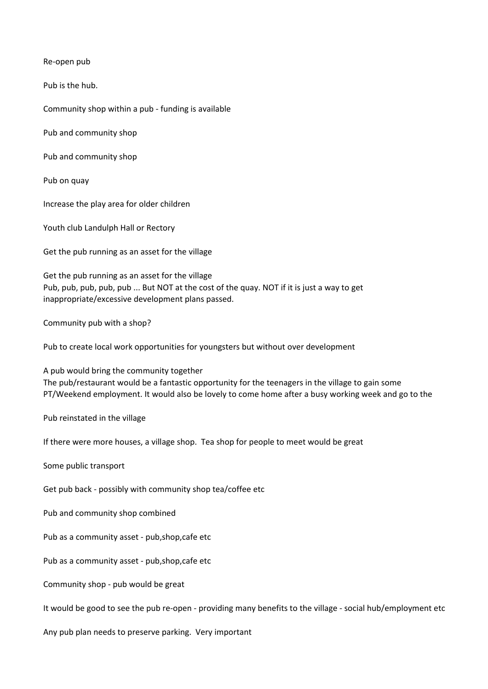Re-open pub

Pub is the hub.

Community shop within a pub - funding is available

Pub and community shop

Pub and community shop

Pub on quay

Increase the play area for older children

Youth club Landulph Hall or Rectory

Get the pub running as an asset for the village

Get the pub running as an asset for the village Pub, pub, pub, pub, pub ... But NOT at the cost of the quay. NOT if it is just a way to get inappropriate/excessive development plans passed.

Community pub with a shop?

Pub to create local work opportunities for youngsters but without over development

A pub would bring the community together The pub/restaurant would be a fantastic opportunity for the teenagers in the village to gain some PT/Weekend employment. It would also be lovely to come home after a busy working week and go to the

Pub reinstated in the village

If there were more houses, a village shop. Tea shop for people to meet would be great

Some public transport

Get pub back - possibly with community shop tea/coffee etc

Pub and community shop combined

Pub as a community asset - pub,shop,cafe etc

Pub as a community asset - pub,shop,cafe etc

Community shop - pub would be great

It would be good to see the pub re-open - providing many benefits to the village - social hub/employment etc

Any pub plan needs to preserve parking. Very important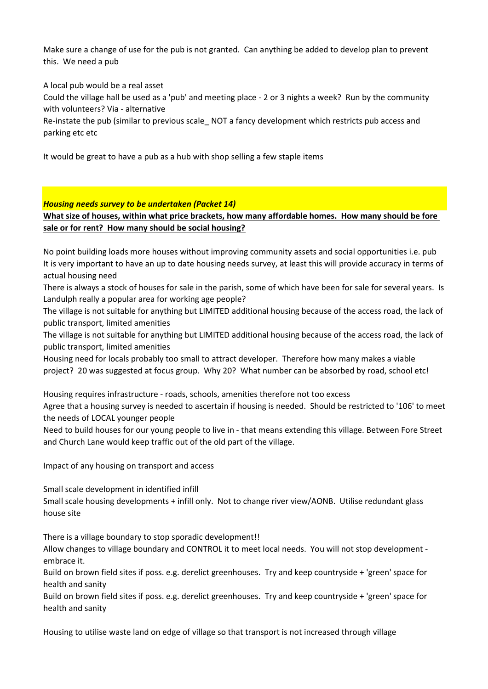Make sure a change of use for the pub is not granted. Can anything be added to develop plan to prevent this. We need a pub

A local pub would be a real asset

Could the village hall be used as a 'pub' and meeting place - 2 or 3 nights a week? Run by the community with volunteers? Via - alternative

Re-instate the pub (similar to previous scale NOT a fancy development which restricts pub access and parking etc etc

It would be great to have a pub as a hub with shop selling a few staple items

## *Housing needs survey to be undertaken (Packet 14)*

**What size of houses, within what price brackets, how many affordable homes. How many should be fore sale or for rent? How many should be social housing?**

No point building loads more houses without improving community assets and social opportunities i.e. pub It is very important to have an up to date housing needs survey, at least this will provide accuracy in terms of actual housing need

There is always a stock of houses for sale in the parish, some of which have been for sale for several years. Is Landulph really a popular area for working age people?

The village is not suitable for anything but LIMITED additional housing because of the access road, the lack of public transport, limited amenities

The village is not suitable for anything but LIMITED additional housing because of the access road, the lack of public transport, limited amenities

Housing need for locals probably too small to attract developer. Therefore how many makes a viable project? 20 was suggested at focus group. Why 20? What number can be absorbed by road, school etc!

Housing requires infrastructure - roads, schools, amenities therefore not too excess

Agree that a housing survey is needed to ascertain if housing is needed. Should be restricted to '106' to meet the needs of LOCAL younger people

Need to build houses for our young people to live in - that means extending this village. Between Fore Street and Church Lane would keep traffic out of the old part of the village.

Impact of any housing on transport and access

Small scale development in identified infill

Small scale housing developments + infill only. Not to change river view/AONB. Utilise redundant glass house site

There is a village boundary to stop sporadic development!!

Allow changes to village boundary and CONTROL it to meet local needs. You will not stop development embrace it.

Build on brown field sites if poss. e.g. derelict greenhouses. Try and keep countryside + 'green' space for health and sanity

Build on brown field sites if poss. e.g. derelict greenhouses. Try and keep countryside + 'green' space for health and sanity

Housing to utilise waste land on edge of village so that transport is not increased through village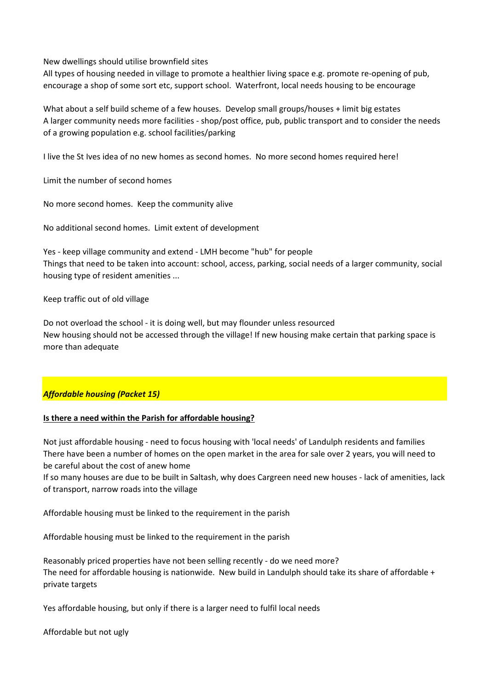New dwellings should utilise brownfield sites

All types of housing needed in village to promote a healthier living space e.g. promote re-opening of pub, encourage a shop of some sort etc, support school. Waterfront, local needs housing to be encourage

What about a self build scheme of a few houses. Develop small groups/houses + limit big estates A larger community needs more facilities - shop/post office, pub, public transport and to consider the needs of a growing population e.g. school facilities/parking

I live the St Ives idea of no new homes as second homes. No more second homes required here!

Limit the number of second homes

No more second homes. Keep the community alive

No additional second homes. Limit extent of development

Yes - keep village community and extend - LMH become "hub" for people Things that need to be taken into account: school, access, parking, social needs of a larger community, social housing type of resident amenities ...

Keep traffic out of old village

Do not overload the school - it is doing well, but may flounder unless resourced New housing should not be accessed through the village! If new housing make certain that parking space is more than adequate

# *Affordable housing (Packet 15)*

# **Is there a need within the Parish for affordable housing?**

Not just affordable housing - need to focus housing with 'local needs' of Landulph residents and families There have been a number of homes on the open market in the area for sale over 2 years, you will need to be careful about the cost of anew home

If so many houses are due to be built in Saltash, why does Cargreen need new houses - lack of amenities, lack of transport, narrow roads into the village

Affordable housing must be linked to the requirement in the parish

Affordable housing must be linked to the requirement in the parish

Reasonably priced properties have not been selling recently - do we need more? The need for affordable housing is nationwide. New build in Landulph should take its share of affordable + private targets

Yes affordable housing, but only if there is a larger need to fulfil local needs

Affordable but not ugly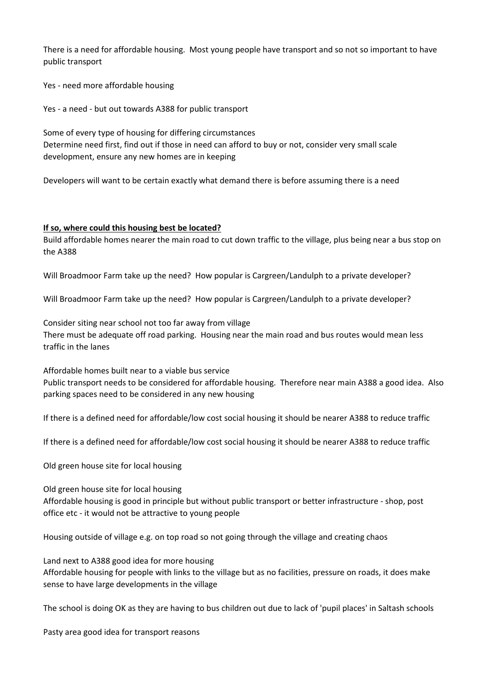There is a need for affordable housing. Most young people have transport and so not so important to have public transport

Yes - need more affordable housing

Yes - a need - but out towards A388 for public transport

Some of every type of housing for differing circumstances Determine need first, find out if those in need can afford to buy or not, consider very small scale development, ensure any new homes are in keeping

Developers will want to be certain exactly what demand there is before assuming there is a need

## **If so, where could this housing best be located?**

Build affordable homes nearer the main road to cut down traffic to the village, plus being near a bus stop on the A388

Will Broadmoor Farm take up the need? How popular is Cargreen/Landulph to a private developer?

Will Broadmoor Farm take up the need? How popular is Cargreen/Landulph to a private developer?

Consider siting near school not too far away from village There must be adequate off road parking. Housing near the main road and bus routes would mean less traffic in the lanes

Affordable homes built near to a viable bus service Public transport needs to be considered for affordable housing. Therefore near main A388 a good idea. Also parking spaces need to be considered in any new housing

If there is a defined need for affordable/low cost social housing it should be nearer A388 to reduce traffic

If there is a defined need for affordable/low cost social housing it should be nearer A388 to reduce traffic

Old green house site for local housing

Old green house site for local housing

Affordable housing is good in principle but without public transport or better infrastructure - shop, post office etc - it would not be attractive to young people

Housing outside of village e.g. on top road so not going through the village and creating chaos

Land next to A388 good idea for more housing Affordable housing for people with links to the village but as no facilities, pressure on roads, it does make sense to have large developments in the village

The school is doing OK as they are having to bus children out due to lack of 'pupil places' in Saltash schools

Pasty area good idea for transport reasons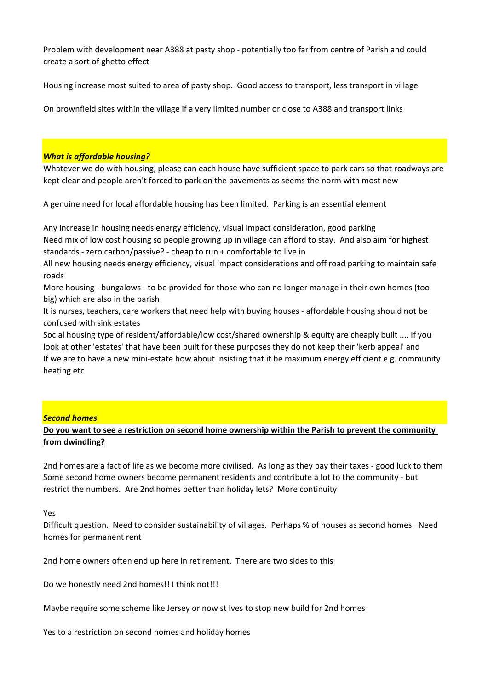Problem with development near A388 at pasty shop - potentially too far from centre of Parish and could create a sort of ghetto effect

Housing increase most suited to area of pasty shop. Good access to transport, less transport in village

On brownfield sites within the village if a very limited number or close to A388 and transport links

### *What is affordable housing?*

Whatever we do with housing, please can each house have sufficient space to park cars so that roadways are kept clear and people aren't forced to park on the pavements as seems the norm with most new

A genuine need for local affordable housing has been limited. Parking is an essential element

Any increase in housing needs energy efficiency, visual impact consideration, good parking Need mix of low cost housing so people growing up in village can afford to stay. And also aim for highest standards - zero carbon/passive? - cheap to run + comfortable to live in

All new housing needs energy efficiency, visual impact considerations and off road parking to maintain safe roads

More housing - bungalows - to be provided for those who can no longer manage in their own homes (too big) which are also in the parish

It is nurses, teachers, care workers that need help with buying houses - affordable housing should not be confused with sink estates

Social housing type of resident/affordable/low cost/shared ownership & equity are cheaply built .... If you look at other 'estates' that have been built for these purposes they do not keep their 'kerb appeal' and If we are to have a new mini-estate how about insisting that it be maximum energy efficient e.g. community heating etc

## *Second homes*

## **Do you want to see a restriction on second home ownership within the Parish to prevent the community from dwindling?**

2nd homes are a fact of life as we become more civilised. As long as they pay their taxes - good luck to them Some second home owners become permanent residents and contribute a lot to the community - but restrict the numbers. Are 2nd homes better than holiday lets? More continuity

#### Yes

Difficult question. Need to consider sustainability of villages. Perhaps % of houses as second homes. Need homes for permanent rent

2nd home owners often end up here in retirement. There are two sides to this

Do we honestly need 2nd homes!! I think not!!!

Maybe require some scheme like Jersey or now st Ives to stop new build for 2nd homes

Yes to a restriction on second homes and holiday homes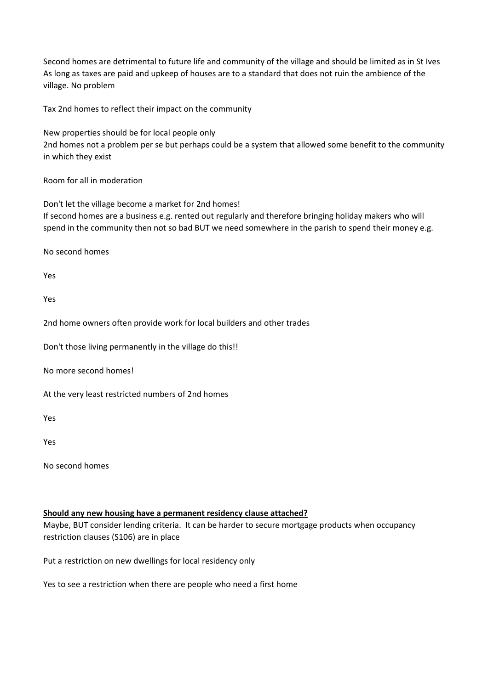Second homes are detrimental to future life and community of the village and should be limited as in St Ives As long as taxes are paid and upkeep of houses are to a standard that does not ruin the ambience of the village. No problem

Tax 2nd homes to reflect their impact on the community

New properties should be for local people only 2nd homes not a problem per se but perhaps could be a system that allowed some benefit to the community in which they exist

Room for all in moderation

Don't let the village become a market for 2nd homes! If second homes are a business e.g. rented out regularly and therefore bringing holiday makers who will spend in the community then not so bad BUT we need somewhere in the parish to spend their money e.g.

No second homes

Yes

Yes

2nd home owners often provide work for local builders and other trades

Don't those living permanently in the village do this!!

No more second homes!

At the very least restricted numbers of 2nd homes

Yes

Yes

No second homes

## **Should any new housing have a permanent residency clause attached?**

Maybe, BUT consider lending criteria. It can be harder to secure mortgage products when occupancy restriction clauses (S106) are in place

Put a restriction on new dwellings for local residency only

Yes to see a restriction when there are people who need a first home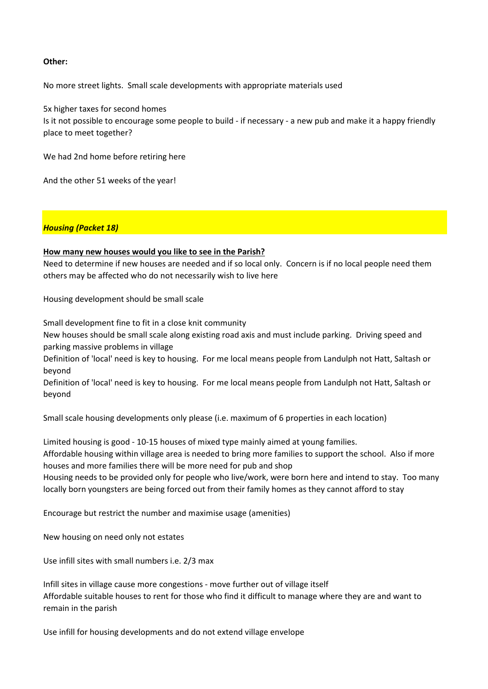### **Other:**

No more street lights. Small scale developments with appropriate materials used

5x higher taxes for second homes Is it not possible to encourage some people to build - if necessary - a new pub and make it a happy friendly place to meet together?

We had 2nd home before retiring here

And the other 51 weeks of the year!

### *Housing (Packet 18)*

### **How many new houses would you like to see in the Parish?**

Need to determine if new houses are needed and if so local only. Concern is if no local people need them others may be affected who do not necessarily wish to live here

Housing development should be small scale

Small development fine to fit in a close knit community

New houses should be small scale along existing road axis and must include parking. Driving speed and parking massive problems in village

Definition of 'local' need is key to housing. For me local means people from Landulph not Hatt, Saltash or beyond

Definition of 'local' need is key to housing. For me local means people from Landulph not Hatt, Saltash or beyond

Small scale housing developments only please (i.e. maximum of 6 properties in each location)

Limited housing is good - 10-15 houses of mixed type mainly aimed at young families.

Affordable housing within village area is needed to bring more families to support the school. Also if more houses and more families there will be more need for pub and shop

Housing needs to be provided only for people who live/work, were born here and intend to stay. Too many locally born youngsters are being forced out from their family homes as they cannot afford to stay

Encourage but restrict the number and maximise usage (amenities)

New housing on need only not estates

Use infill sites with small numbers i.e. 2/3 max

Infill sites in village cause more congestions - move further out of village itself Affordable suitable houses to rent for those who find it difficult to manage where they are and want to remain in the parish

Use infill for housing developments and do not extend village envelope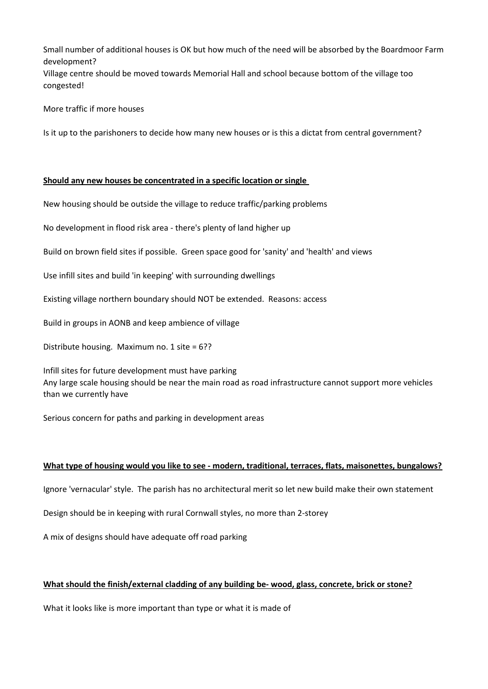Small number of additional houses is OK but how much of the need will be absorbed by the Boardmoor Farm development?

Village centre should be moved towards Memorial Hall and school because bottom of the village too congested!

More traffic if more houses

Is it up to the parishoners to decide how many new houses or is this a dictat from central government?

### **Should any new houses be concentrated in a specific location or single**

New housing should be outside the village to reduce traffic/parking problems

No development in flood risk area - there's plenty of land higher up

Build on brown field sites if possible. Green space good for 'sanity' and 'health' and views

Use infill sites and build 'in keeping' with surrounding dwellings

Existing village northern boundary should NOT be extended. Reasons: access

Build in groups in AONB and keep ambience of village

Distribute housing. Maximum no. 1 site = 6??

Infill sites for future development must have parking Any large scale housing should be near the main road as road infrastructure cannot support more vehicles than we currently have

Serious concern for paths and parking in development areas

#### **What type of housing would you like to see - modern, traditional, terraces, flats, maisonettes, bungalows?**

Ignore 'vernacular' style. The parish has no architectural merit so let new build make their own statement

Design should be in keeping with rural Cornwall styles, no more than 2-storey

A mix of designs should have adequate off road parking

## **What should the finish/external cladding of any building be- wood, glass, concrete, brick or stone?**

What it looks like is more important than type or what it is made of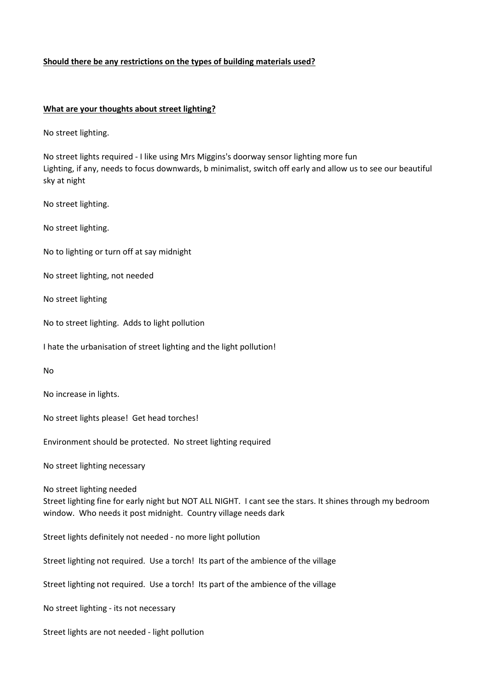## **Should there be any restrictions on the types of building materials used?**

### **What are your thoughts about street lighting?**

No street lighting.

No street lights required - I like using Mrs Miggins's doorway sensor lighting more fun Lighting, if any, needs to focus downwards, b minimalist, switch off early and allow us to see our beautiful sky at night

No street lighting.

No street lighting.

No to lighting or turn off at say midnight

No street lighting, not needed

No street lighting

No to street lighting. Adds to light pollution

I hate the urbanisation of street lighting and the light pollution!

No

No increase in lights.

No street lights please! Get head torches!

Environment should be protected. No street lighting required

No street lighting necessary

No street lighting needed

Street lighting fine for early night but NOT ALL NIGHT. I cant see the stars. It shines through my bedroom window. Who needs it post midnight. Country village needs dark

Street lights definitely not needed - no more light pollution

Street lighting not required. Use a torch! Its part of the ambience of the village

Street lighting not required. Use a torch! Its part of the ambience of the village

No street lighting - its not necessary

Street lights are not needed - light pollution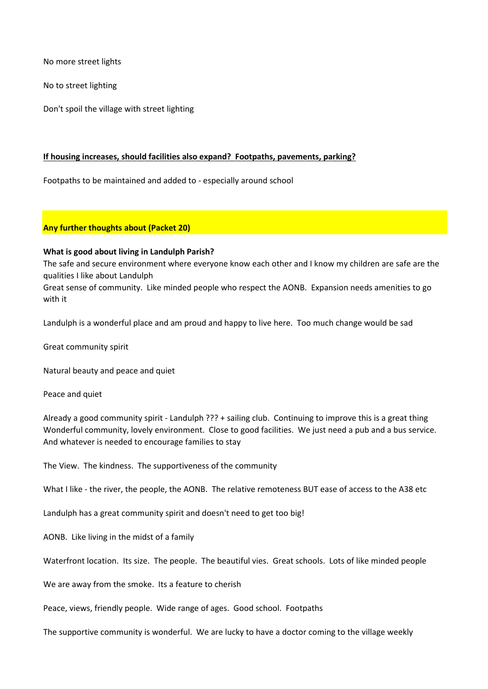No more street lights

No to street lighting

Don't spoil the village with street lighting

## **If housing increases, should facilities also expand? Footpaths, pavements, parking?**

Footpaths to be maintained and added to - especially around school

### **Any further thoughts about (Packet 20)**

### **What is good about living in Landulph Parish?**

The safe and secure environment where everyone know each other and I know my children are safe are the qualities I like about Landulph

Great sense of community. Like minded people who respect the AONB. Expansion needs amenities to go with it

Landulph is a wonderful place and am proud and happy to live here. Too much change would be sad

Great community spirit

Natural beauty and peace and quiet

Peace and quiet

Already a good community spirit - Landulph ??? + sailing club. Continuing to improve this is a great thing Wonderful community, lovely environment. Close to good facilities. We just need a pub and a bus service. And whatever is needed to encourage families to stay

The View. The kindness. The supportiveness of the community

What I like - the river, the people, the AONB. The relative remoteness BUT ease of access to the A38 etc

Landulph has a great community spirit and doesn't need to get too big!

AONB. Like living in the midst of a family

Waterfront location. Its size. The people. The beautiful vies. Great schools. Lots of like minded people

We are away from the smoke. Its a feature to cherish

Peace, views, friendly people. Wide range of ages. Good school. Footpaths

The supportive community is wonderful. We are lucky to have a doctor coming to the village weekly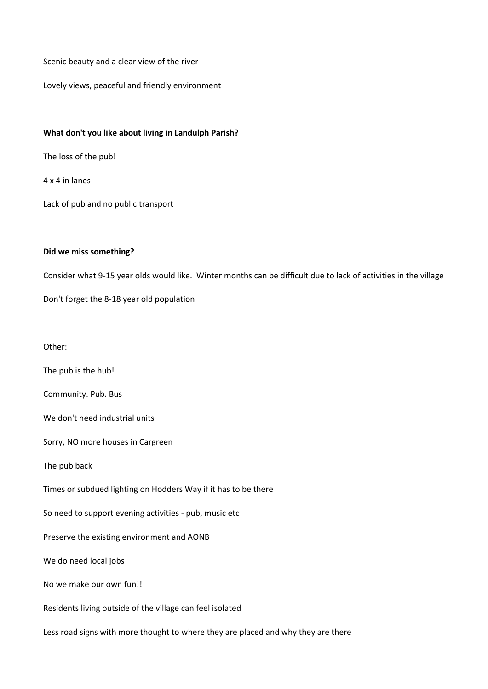Scenic beauty and a clear view of the river

Lovely views, peaceful and friendly environment

### **What don't you like about living in Landulph Parish?**

The loss of the pub!

4 x 4 in lanes

Lack of pub and no public transport

## **Did we miss something?**

Consider what 9-15 year olds would like. Winter months can be difficult due to lack of activities in the village

Don't forget the 8-18 year old population

Other:

The pub is the hub!

Community. Pub. Bus

We don't need industrial units

Sorry, NO more houses in Cargreen

The pub back

Times or subdued lighting on Hodders Way if it has to be there

So need to support evening activities - pub, music etc

Preserve the existing environment and AONB

We do need local jobs

No we make our own fun!!

Residents living outside of the village can feel isolated

Less road signs with more thought to where they are placed and why they are there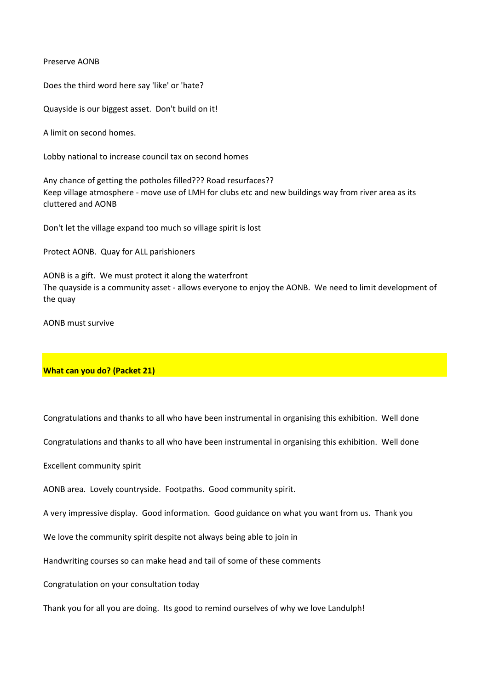Preserve AONB

Does the third word here say 'like' or 'hate?

Quayside is our biggest asset. Don't build on it!

A limit on second homes.

Lobby national to increase council tax on second homes

Any chance of getting the potholes filled??? Road resurfaces?? Keep village atmosphere - move use of LMH for clubs etc and new buildings way from river area as its cluttered and AONB

Don't let the village expand too much so village spirit is lost

Protect AONB. Quay for ALL parishioners

AONB is a gift. We must protect it along the waterfront The quayside is a community asset - allows everyone to enjoy the AONB. We need to limit development of the quay

AONB must survive

## **What can you do? (Packet 21)**

Congratulations and thanks to all who have been instrumental in organising this exhibition. Well done

Congratulations and thanks to all who have been instrumental in organising this exhibition. Well done

Excellent community spirit

AONB area. Lovely countryside. Footpaths. Good community spirit.

A very impressive display. Good information. Good guidance on what you want from us. Thank you

We love the community spirit despite not always being able to join in

Handwriting courses so can make head and tail of some of these comments

Congratulation on your consultation today

Thank you for all you are doing. Its good to remind ourselves of why we love Landulph!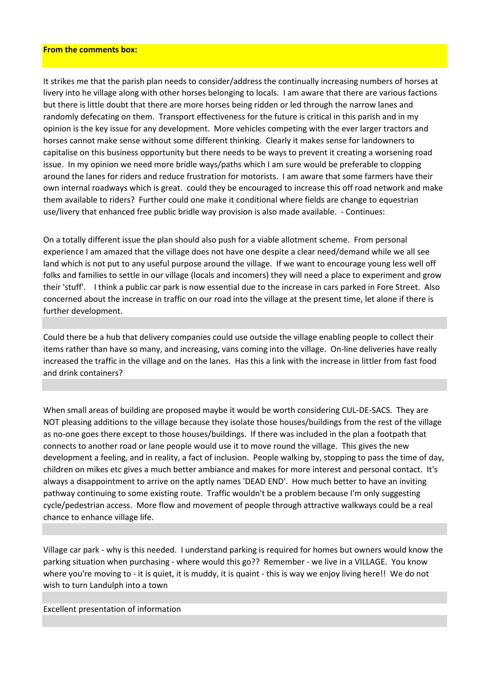#### **From the comments box:**

It strikes me that the parish plan needs to consider/address the continually increasing numbers of horses at livery into he village along with other horses belonging to locals. I am aware that there are various factions but there is little doubt that there are more horses being ridden or led through the narrow lanes and randomly defecating on them. Transport effectiveness for the future is critical in this parish and in my opinion is the key issue for any development. More vehicles competing with the ever larger tractors and horses cannot make sense without some different thinking. Clearly it makes sense for landowners to capitalise on this business opportunity but there needs to be ways to prevent it creating a worsening road issue. In my opinion we need more bridle ways/paths which I am sure would be preferable to clopping around the lanes for riders and reduce frustration for motorists. I am aware that some farmers have their own internal roadways which is great. could they be encouraged to increase this off road network and make them available to riders? Further could one make it conditional where fields are change to equestrian use/livery that enhanced free public bridle way provision is also made available. - Continues:

On a totally different issue the plan should also push for a viable allotment scheme. From personal experience I am amazed that the village does not have one despite a clear need/demand while we all see land which is not put to any useful purpose around the village. If we want to encourage young less well off folks and families to settle in our village (locals and incomers) they will need a place to experiment and grow their 'stuff'. I think a public car park is now essential due to the increase in cars parked in Fore Street. Also concerned about the increase in traffic on our road into the village at the present time, let alone if there is further development.

Could there be a hub that delivery companies could use outside the village enabling people to collect their items rather than have so many, and increasing, vans coming into the village. On-line deliveries have really increased the traffic in the village and on the lanes. Has this a link with the increase in littler from fast food and drink containers?

When small areas of building are proposed maybe it would be worth considering CUL-DE-SACS. They are NOT pleasing additions to the village because they isolate those houses/buildings from the rest of the village as no-one goes there except to those houses/buildings. If there was included in the plan a footpath that connects to another road or lane people would use it to move round the village. This gives the new development a feeling, and in reality, a fact of inclusion. People walking by, stopping to pass the time of day, children on mikes etc gives a much better ambiance and makes for more interest and personal contact. It's always a disappointment to arrive on the aptly names 'DEAD END'. How much better to have an inviting pathway continuing to some existing route. Traffic wouldn't be a problem because I'm only suggesting cycle/pedestrian access. More flow and movement of people through attractive walkways could be a real chance to enhance village life.

Village car park - why is this needed. I understand parking is required for homes but owners would know the parking situation when purchasing - where would this go?? Remember - we live in a VILLAGE. You know where you're moving to - it is quiet, it is muddy, it is quaint - this is way we enjoy living here!! We do not wish to turn Landulph into a town

#### Excellent presentation of information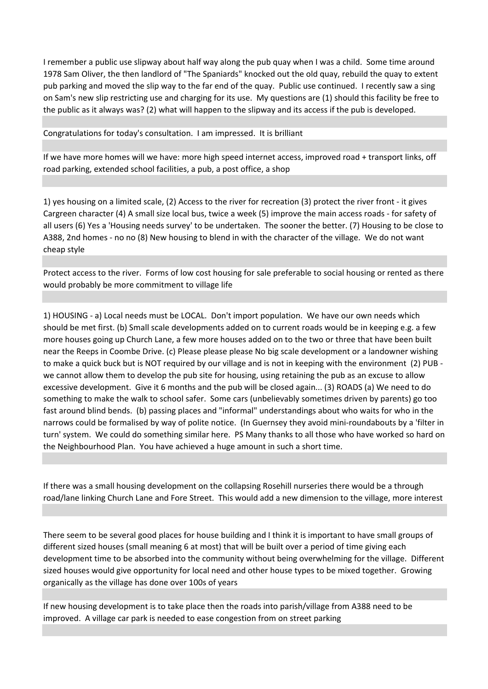I remember a public use slipway about half way along the pub quay when I was a child. Some time around 1978 Sam Oliver, the then landlord of "The Spaniards" knocked out the old quay, rebuild the quay to extent pub parking and moved the slip way to the far end of the quay. Public use continued. I recently saw a sing on Sam's new slip restricting use and charging for its use. My questions are (1) should this facility be free to the public as it always was? (2) what will happen to the slipway and its access if the pub is developed.

Congratulations for today's consultation. I am impressed. It is brilliant

If we have more homes will we have: more high speed internet access, improved road + transport links, off road parking, extended school facilities, a pub, a post office, a shop

1) yes housing on a limited scale, (2) Access to the river for recreation (3) protect the river front - it gives Cargreen character (4) A small size local bus, twice a week (5) improve the main access roads - for safety of all users (6) Yes a 'Housing needs survey' to be undertaken. The sooner the better. (7) Housing to be close to A388, 2nd homes - no no (8) New housing to blend in with the character of the village. We do not want cheap style

Protect access to the river. Forms of low cost housing for sale preferable to social housing or rented as there would probably be more commitment to village life

1) HOUSING - a) Local needs must be LOCAL. Don't import population. We have our own needs which should be met first. (b) Small scale developments added on to current roads would be in keeping e.g. a few more houses going up Church Lane, a few more houses added on to the two or three that have been built near the Reeps in Coombe Drive. (c) Please please please No big scale development or a landowner wishing to make a quick buck but is NOT required by our village and is not in keeping with the environment (2) PUB we cannot allow them to develop the pub site for housing, using retaining the pub as an excuse to allow excessive development. Give it 6 months and the pub will be closed again... (3) ROADS (a) We need to do something to make the walk to school safer. Some cars (unbelievably sometimes driven by parents) go too fast around blind bends. (b) passing places and "informal" understandings about who waits for who in the narrows could be formalised by way of polite notice. (In Guernsey they avoid mini-roundabouts by a 'filter in turn' system. We could do something similar here. PS Many thanks to all those who have worked so hard on the Neighbourhood Plan. You have achieved a huge amount in such a short time.

If there was a small housing development on the collapsing Rosehill nurseries there would be a through road/lane linking Church Lane and Fore Street. This would add a new dimension to the village, more interest

There seem to be several good places for house building and I think it is important to have small groups of different sized houses (small meaning 6 at most) that will be built over a period of time giving each development time to be absorbed into the community without being overwhelming for the village. Different sized houses would give opportunity for local need and other house types to be mixed together. Growing organically as the village has done over 100s of years

If new housing development is to take place then the roads into parish/village from A388 need to be improved. A village car park is needed to ease congestion from on street parking